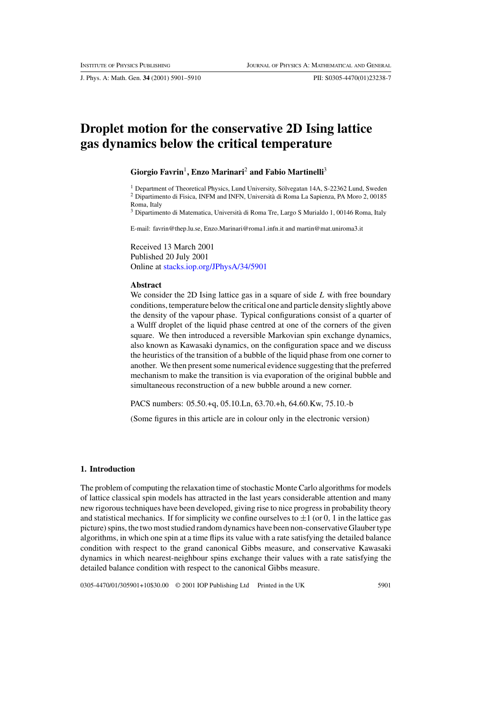J. Phys. A: Math. Gen. **34** (2001) 5901–5910 PII: S0305-4470(01)23238-7

# **Droplet motion for the conservative 2D Ising lattice gas dynamics below the critical temperature**

#### **Giorgio Favrin**1**, Enzo Marinari**<sup>2</sup> **and Fabio Martinelli**<sup>3</sup>

 $1$  Department of Theoretical Physics, Lund University, Sölvegatan 14A, S-22362 Lund, Sweden <sup>2</sup> Dipartimento di Fisica, INFM and INFN, Università di Roma La Sapienza, PA Moro 2, 00185

Roma, Italy

<sup>3</sup> Dipartimento di Matematica, Universita di Roma Tre, Largo S Murialdo 1, 00146 Roma, Italy `

E-mail: favrin@thep.lu.se, Enzo.Marinari@roma1.infn.it and martin@mat.uniroma3.it

Received 13 March 2001 Published 20 July 2001 Online at [stacks.iop.org/JPhysA/34/5901](http://stacks.iop.org/ja/34/5901)

### **Abstract**

We consider the 2D Ising lattice gas in a square of side  $L$  with free boundary conditions, temperature below the critical one and particle density slightly above the density of the vapour phase. Typical configurations consist of a quarter of a Wulff droplet of the liquid phase centred at one of the corners of the given square. We then introduced a reversible Markovian spin exchange dynamics, also known as Kawasaki dynamics, on the configuration space and we discuss the heuristics of the transition of a bubble of the liquid phase from one corner to another. We then present some numerical evidence suggesting that the preferred mechanism to make the transition is via evaporation of the original bubble and simultaneous reconstruction of a new bubble around a new corner.

PACS numbers: 05.50.+q, 05.10.Ln, 63.70.+h, 64.60.Kw, 75.10.-b

(Some figures in this article are in colour only in the electronic version)

## **1. Introduction**

The problem of computing the relaxation time of stochastic Monte Carlo algorithms for models of lattice classical spin models has attracted in the last years considerable attention and many new rigorous techniques have been developed, giving rise to nice progress in probability theory and statistical mechanics. If for simplicity we confine ourselves to  $\pm 1$  (or 0, 1 in the lattice gas picture) spins, the two most studied random dynamics have been non-conservative Glauber type algorithms, in which one spin at a time flips its value with a rate satisfying the detailed balance condition with respect to the grand canonical Gibbs measure, and conservative Kawasaki dynamics in which nearest-neighbour spins exchange their values with a rate satisfying the detailed balance condition with respect to the canonical Gibbs measure.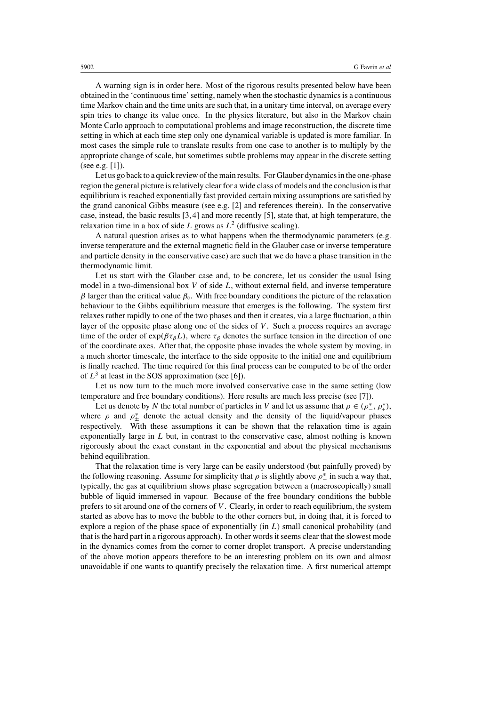A warning sign is in order here. Most of the rigorous results presented below have been obtained in the 'continuous time' setting, namely when the stochastic dynamics is a continuous time Markov chain and the time units are such that, in a unitary time interval, on average every spin tries to change its value once. In the physics literature, but also in the Markov chain Monte Carlo approach to computational problems and image reconstruction, the discrete time setting in which at each time step only one dynamical variable is updated is more familiar. In most cases the simple rule to translate results from one case to another is to multiply by the appropriate change of scale, but sometimes subtle problems may appear in the discrete setting (see e.g. [1]).

Let us go back to a quick review of the main results. For Glauber dynamics in the one-phase region the general picture is relatively clear for a wide class of models and the conclusion is that equilibrium is reached exponentially fast provided certain mixing assumptions are satisfied by the grand canonical Gibbs measure (see e.g.  $[2]$  and references therein). In the conservative case, instead, the basic results [3, 4] and more recently [5], state that, at high temperature, the relaxation time in a box of side L grows as  $L^2$  (diffusive scaling).

A natural question arises as to what happens when the thermodynamic parameters (e.g. inverse temperature and the external magnetic field in the Glauber case or inverse temperature and particle density in the conservative case) are such that we do have a phase transition in the thermodynamic limit.

Let us start with the Glauber case and, to be concrete, let us consider the usual Ising model in a two-dimensional box V of side L, without external field, and inverse temperature  $β$  larger than the critical value  $β<sub>c</sub>$ . With free boundary conditions the picture of the relaxation behaviour to the Gibbs equilibrium measure that emerges is the following. The system first relaxes rather rapidly to one of the two phases and then it creates, via a large fluctuation, a thin layer of the opposite phase along one of the sides of  $V$ . Such a process requires an average time of the order of  $\exp(\beta \tau_{\beta}L)$ , where  $\tau_{\beta}$  denotes the surface tension in the direction of one of the coordinate axes. After that, the opposite phase invades the whole system by moving, in a much shorter timescale, the interface to the side opposite to the initial one and equilibrium is finally reached. The time required for this final process can be computed to be of the order of  $L^3$  at least in the SOS approximation (see [6]).

Let us now turn to the much more involved conservative case in the same setting (low temperature and free boundary conditions). Here results are much less precise (see [7]).

Let us denote by N the total number of particles in V and let us assume that  $\rho \in (\rho^*, \rho^*_+)$ , where  $\rho$  and  $\rho_{\pm}^{*}$  denote the actual density and the density of the liquid/vapour phases respectively. With these assumptions it can be shown that the relaxation time is again exponentially large in L but, in contrast to the conservative case, almost nothing is known rigorously about the exact constant in the exponential and about the physical mechanisms behind equilibration.

That the relaxation time is very large can be easily understood (but painfully proved) by the following reasoning. Assume for simplicity that  $\rho$  is slightly above  $\rho^*$  in such a way that, typically, the gas at equilibrium shows phase segregation between a (macroscopically) small bubble of liquid immersed in vapour. Because of the free boundary conditions the bubble prefers to sit around one of the corners of V . Clearly, in order to reach equilibrium, the system started as above has to move the bubble to the other corners but, in doing that, it is forced to explore a region of the phase space of exponentially (in L) small canonical probability (and that is the hard part in a rigorous approach). In other words it seems clear that the slowest mode in the dynamics comes from the corner to corner droplet transport. A precise understanding of the above motion appears therefore to be an interesting problem on its own and almost unavoidable if one wants to quantify precisely the relaxation time. A first numerical attempt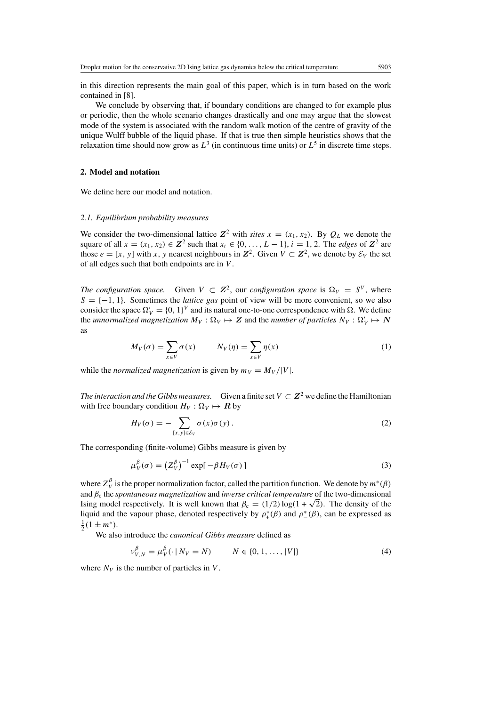in this direction represents the main goal of this paper, which is in turn based on the work contained in [8].

We conclude by observing that, if boundary conditions are changed to for example plus or periodic, then the whole scenario changes drastically and one may argue that the slowest mode of the system is associated with the random walk motion of the centre of gravity of the unique Wulff bubble of the liquid phase. If that is true then simple heuristics shows that the relaxation time should now grow as  $L^3$  (in continuous time units) or  $L^5$  in discrete time steps.

## **2. Model and notation**

We define here our model and notation.

#### *2.1. Equilibrium probability measures*

We consider the two-dimensional lattice  $Z^2$  with *sites*  $x = (x_1, x_2)$ . By  $Q_L$  we denote the square of all  $x = (x_1, x_2) \in \mathbb{Z}^2$  such that  $x_i \in \{0, \ldots, L-1\}$ ,  $i = 1, 2$ . The *edges* of  $\mathbb{Z}^2$  are those  $e = [x, y]$  with x, y nearest neighbours in  $\mathbb{Z}^2$ . Given  $V \subset \mathbb{Z}^2$ , we denote by  $\mathcal{E}_V$  the set of all edges such that both endpoints are in V .

*The configuration space.* Given  $V \subset \mathbb{Z}^2$ , our *configuration space* is  $\Omega_V = S^V$ , where  $S = \{-1, 1\}$ . Sometimes the *lattice gas* point of view will be more convenient, so we also consider the space  $\Omega'_V = \{0, 1\}^V$  and its natural one-to-one correspondence with  $\Omega$ . We define the *unnormalized magnetization*  $M_V : \Omega_V \mapsto Z$  and the *number of particles*  $N_V : \Omega_V' \mapsto N$ as

$$
M_V(\sigma) = \sum_{x \in V} \sigma(x) \qquad N_V(\eta) = \sum_{x \in V} \eta(x) \tag{1}
$$

while the *normalized magnetization* is given by  $m_V = M_V / |V|$ .

*The interaction and the Gibbs measures.* Given a finite set  $V \subset \mathbb{Z}^2$  we define the Hamiltonian with free boundary condition  $H_V : \Omega_V \mapsto \mathbf{R}$  by

$$
H_V(\sigma) = -\sum_{[x,y]\in \mathcal{E}_V} \sigma(x)\sigma(y).
$$
 (2)

The corresponding (finite-volume) Gibbs measure is given by

$$
\mu_V^{\beta}(\sigma) = \left(Z_V^{\beta}\right)^{-1} \exp[-\beta H_V(\sigma)] \tag{3}
$$

where  $Z_V^{\beta}$  is the proper normalization factor, called the partition function. We denote by  $m^*(\beta)$ and β<sup>c</sup> the *spontaneous magnetization* and *inverse critical temperature* of the two-dimensional Ising model respectively. It is well known that  $\beta_c = (1/2) \log(1 + \sqrt{2})$ . The density of the liquid and the vapour phase, denoted respectively by  $\rho^*_+(\beta)$  and  $\rho^*_{-}(\beta)$ , can be expressed as  $\frac{1}{2}(1 \pm m^*).$ 

We also introduce the *canonical Gibbs measure* defined as

$$
\nu_{V,N}^{\beta} = \mu_V^{\beta}(\cdot \, | \, N_V = N) \qquad N \in \{0, 1, \dots, |V| \}
$$
 (4)

where  $N_V$  is the number of particles in V.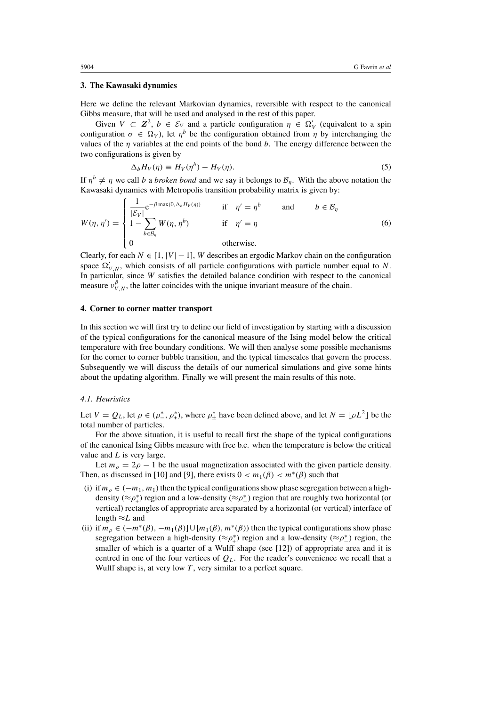### **3. The Kawasaki dynamics**

Here we define the relevant Markovian dynamics, reversible with respect to the canonical Gibbs measure, that will be used and analysed in the rest of this paper.

Given  $V \subset \mathbb{Z}^2$ ,  $b \in \mathcal{E}_V$  and a particle configuration  $\eta \in \Omega_V'$  (equivalent to a spin configuration  $\sigma \in \Omega_V$ ), let  $\eta^b$  be the configuration obtained from  $\eta$  by interchanging the values of the  $\eta$  variables at the end points of the bond b. The energy difference between the two configurations is given by

$$
\Delta_b H_V(\eta) \equiv H_V(\eta^b) - H_V(\eta). \tag{5}
$$

If  $\eta^b \neq \eta$  we call b a *broken bond* and we say it belongs to  $\mathcal{B}_n$ . With the above notation the Kawasaki dynamics with Metropolis transition probability matrix is given by:

$$
W(\eta, \eta') = \begin{cases} \frac{1}{|\mathcal{E}_V|} e^{-\beta \max(0, \Delta_b H_V(\eta))} & \text{if } \eta' = \eta^b \text{ and } b \in \mathcal{B}_\eta \\ 1 - \sum_{b \in \mathcal{B}_\eta} W(\eta, \eta^b) & \text{if } \eta' = \eta \\ 0 & \text{otherwise.} \end{cases}
$$
(6)

Clearly, for each  $N \in [1, |V| - 1]$ , W describes an ergodic Markov chain on the configuration space  $\Omega'_{V,N}$ , which consists of all particle configurations with particle number equal to N. In particular, since W satisfies the detailed balance condition with respect to the canonical measure  $v_{V,N}^{\beta}$ , the latter coincides with the unique invariant measure of the chain.

### **4. Corner to corner matter transport**

In this section we will first try to define our field of investigation by starting with a discussion of the typical configurations for the canonical measure of the Ising model below the critical temperature with free boundary conditions. We will then analyse some possible mechanisms for the corner to corner bubble transition, and the typical timescales that govern the process. Subsequently we will discuss the details of our numerical simulations and give some hints about the updating algorithm. Finally we will present the main results of this note.

## *4.1. Heuristics*

Let  $V = Q_L$ , let  $\rho \in (\rho_-^*, \rho_+^*)$ , where  $\rho_+^*$  have been defined above, and let  $N = \lfloor \rho L^2 \rfloor$  be the total number of particles.

For the above situation, it is useful to recall first the shape of the typical configurations of the canonical Ising Gibbs measure with free b.c. when the temperature is below the critical value and  $L$  is very large.

Let  $m_\rho = 2\rho - 1$  be the usual magnetization associated with the given particle density. Then, as discussed in [10] and [9], there exists  $0 < m_1(\beta) < m^*(\beta)$  such that

- (i) if  $m_\rho \in (-m_1, m_1)$  then the typical configurations show phase segregation between a highdensity ( $\approx \rho_+^*$ ) region and a low-density ( $\approx \rho_-^*$ ) region that are roughly two horizontal (or vertical) rectangles of appropriate area separated by a horizontal (or vertical) interface of length  $\approx L$  and
- (ii) if  $m_\rho \in (-m^*(\beta), -m_1(\beta)] \cup [m_1(\beta), m^*(\beta))$  then the typical configurations show phase segregation between a high-density ( $\approx \rho^*$ ) region and a low-density ( $\approx \rho^*$ ) region, the smaller of which is a quarter of a Wulff shape (see [12]) of appropriate area and it is centred in one of the four vertices of  $Q_L$ . For the reader's convenience we recall that a Wulff shape is, at very low  $T$ , very similar to a perfect square.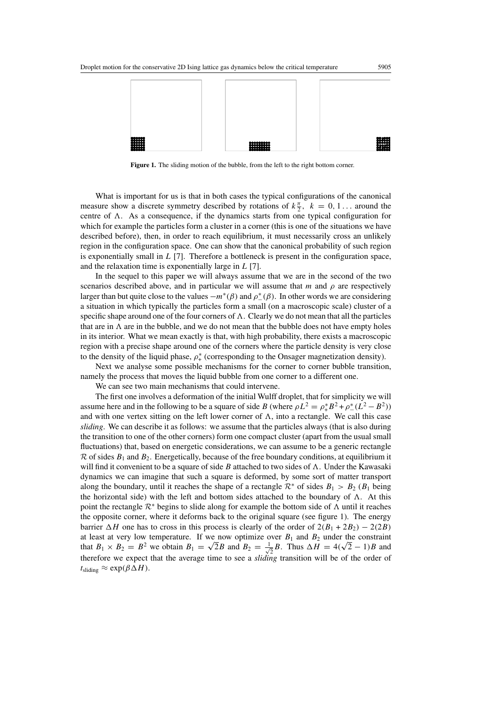

**Figure 1.** The sliding motion of the bubble, from the left to the right bottom corner.

What is important for us is that in both cases the typical configurations of the canonical measure show a discrete symmetry described by rotations of  $k\frac{\pi}{2}$ ,  $k = 0, 1...$  around the centre of  $\Lambda$ . As a consequence, if the dynamics starts from one typical configuration for which for example the particles form a cluster in a corner (this is one of the situations we have described before), then, in order to reach equilibrium, it must necessarily cross an unlikely region in the configuration space. One can show that the canonical probability of such region is exponentially small in  $L$  [7]. Therefore a bottleneck is present in the configuration space, and the relaxation time is exponentially large in  $L$  [7].

In the sequel to this paper we will always assume that we are in the second of the two scenarios described above, and in particular we will assume that m and  $\rho$  are respectively larger than but quite close to the values  $-m^*(\beta)$  and  $\rho^*(\beta)$ . In other words we are considering a situation in which typically the particles form a small (on a macroscopic scale) cluster of a specific shape around one of the four corners of  $\Lambda$ . Clearly we do not mean that all the particles that are in  $\Lambda$  are in the bubble, and we do not mean that the bubble does not have empty holes in its interior. What we mean exactly is that, with high probability, there exists a macroscopic region with a precise shape around one of the corners where the particle density is very close to the density of the liquid phase,  $\rho^*$  (corresponding to the Onsager magnetization density).

Next we analyse some possible mechanisms for the corner to corner bubble transition, namely the process that moves the liquid bubble from one corner to a different one.

We can see two main mechanisms that could intervene.

The first one involves a deformation of the initial Wulff droplet, that for simplicity we will assume here and in the following to be a square of side B (where  $\rho L^2 = \rho^*_{+} B^2 + \rho^*_{-}(L^2 - B^2)$ ) and with one vertex sitting on the left lower corner of  $\Lambda$ , into a rectangle. We call this case *sliding*. We can describe it as follows: we assume that the particles always (that is also during the transition to one of the other corners) form one compact cluster (apart from the usual small fluctuations) that, based on energetic considerations, we can assume to be a generic rectangle  $\mathcal R$  of sides  $B_1$  and  $B_2$ . Energetically, because of the free boundary conditions, at equilibrium it will find it convenient to be a square of side  $B$  attached to two sides of  $\Lambda$ . Under the Kawasaki dynamics we can imagine that such a square is deformed, by some sort of matter transport along the boundary, until it reaches the shape of a rectangle  $\mathcal{R}^*$  of sides  $B_1 > B_2$  ( $B_1$  being the horizontal side) with the left and bottom sides attached to the boundary of  $\Lambda$ . At this point the rectangle  $\mathcal{R}^*$  begins to slide along for example the bottom side of  $\Lambda$  until it reaches the opposite corner, where it deforms back to the original square (see figure 1). The energy barrier  $\Delta H$  one has to cross in this process is clearly of the order of  $2(B_1 + 2B_2) - 2(2B)$ at least at very low temperature. If we now optimize over  $B_1$  and  $B_2$  under the constraint at least at very low temperature. If we now optimize of that  $B_1 \times B_2 = B^2$  we obtain  $B_1 = \sqrt{2}B$  and  $B_2 = \frac{1}{\sqrt{2}}$ wer  $B_1$  and  $B_2$  under the constraint<br>  $\frac{1}{2}B$ . Thus  $\Delta H = 4(\sqrt{2}-1)B$  and therefore we expect that the average time to see a *sliding* transition will be of the order of  $t_{\text{sliding}} \approx \exp(\beta \Delta H).$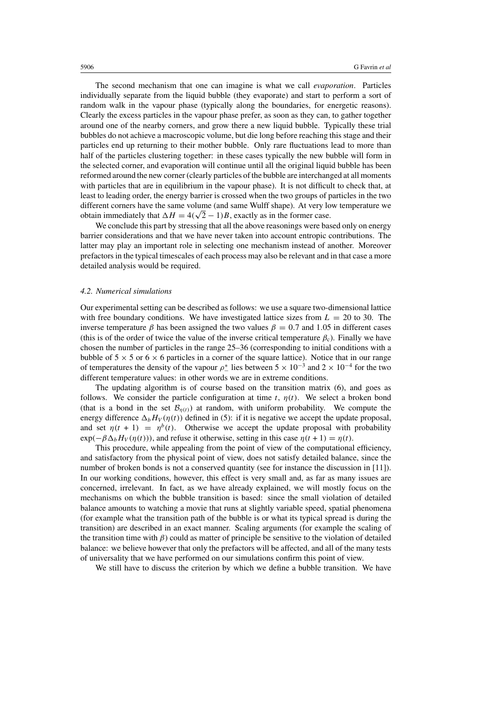The second mechanism that one can imagine is what we call *evaporation*. Particles individually separate from the liquid bubble (they evaporate) and start to perform a sort of random walk in the vapour phase (typically along the boundaries, for energetic reasons). Clearly the excess particles in the vapour phase prefer, as soon as they can, to gather together around one of the nearby corners, and grow there a new liquid bubble. Typically these trial bubbles do not achieve a macroscopic volume, but die long before reaching this stage and their particles end up returning to their mother bubble. Only rare fluctuations lead to more than half of the particles clustering together: in these cases typically the new bubble will form in the selected corner, and evaporation will continue until all the original liquid bubble has been reformed around the new corner (clearly particles of the bubble are interchanged at all moments with particles that are in equilibrium in the vapour phase). It is not difficult to check that, at least to leading order, the energy barrier is crossed when the two groups of particles in the two different corners have the same volume (and same Wulff shape). At very low temperature we different corners have the same volume (and same Wulff shape). At very lo<br>obtain immediately that  $\Delta H = 4(\sqrt{2} - 1)B$ , exactly as in the former case.

We conclude this part by stressing that all the above reasonings were based only on energy barrier considerations and that we have never taken into account entropic contributions. The latter may play an important role in selecting one mechanism instead of another. Moreover prefactors in the typical timescales of each process may also be relevant and in that case a more detailed analysis would be required.

#### *4.2. Numerical simulations*

Our experimental setting can be described as follows: we use a square two-dimensional lattice with free boundary conditions. We have investigated lattice sizes from  $L = 20$  to 30. The inverse temperature β has been assigned the two values  $\beta = 0.7$  and 1.05 in different cases (this is of the order of twice the value of the inverse critical temperature  $\beta_c$ ). Finally we have chosen the number of particles in the range 25–36 (corresponding to initial conditions with a bubble of  $5 \times 5$  or  $6 \times 6$  particles in a corner of the square lattice). Notice that in our range of temperatures the density of the vapour  $\rho_{-}^{*}$  lies between  $5 \times 10^{-3}$  and  $2 \times 10^{-4}$  for the two different temperature values: in other words we are in extreme conditions.

The updating algorithm is of course based on the transition matrix (6), and goes as follows. We consider the particle configuration at time t,  $\eta(t)$ . We select a broken bond (that is a bond in the set  $\mathcal{B}_{\eta(t)}$ ) at random, with uniform probability. We compute the energy difference  $\Delta_b H_V(\eta(t))$  defined in (5): if it is negative we accept the update proposal, and set  $\eta(t + 1) = \eta^b(t)$ . Otherwise we accept the update proposal with probability  $exp(-\beta \Delta_b H_V(\eta(t)))$ , and refuse it otherwise, setting in this case  $\eta(t + 1) = \eta(t)$ .

This procedure, while appealing from the point of view of the computational efficiency, and satisfactory from the physical point of view, does not satisfy detailed balance, since the number of broken bonds is not a conserved quantity (see for instance the discussion in [11]). In our working conditions, however, this effect is very small and, as far as many issues are concerned, irrelevant. In fact, as we have already explained, we will mostly focus on the mechanisms on which the bubble transition is based: since the small violation of detailed balance amounts to watching a movie that runs at slightly variable speed, spatial phenomena (for example what the transition path of the bubble is or what its typical spread is during the transition) are described in an exact manner. Scaling arguments (for example the scaling of the transition time with  $\beta$ ) could as matter of principle be sensitive to the violation of detailed balance: we believe however that only the prefactors will be affected, and all of the many tests of universality that we have performed on our simulations confirm this point of view.

We still have to discuss the criterion by which we define a bubble transition. We have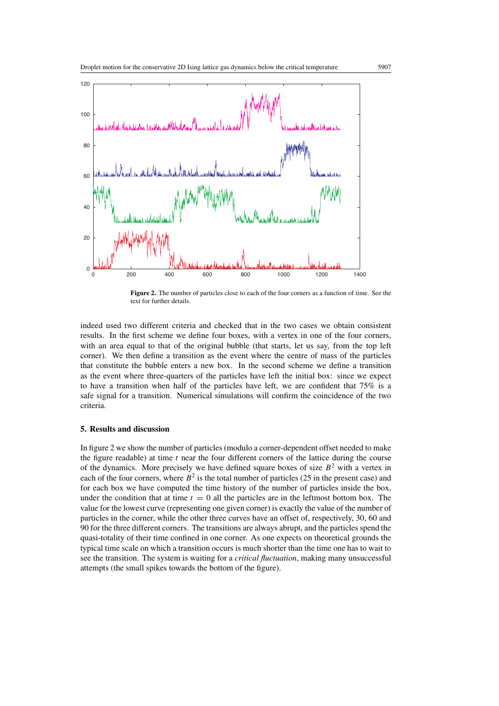

**Figure 2.** The number of particles close to each of the four corners as a function of time. See the text for further details.

indeed used two different criteria and checked that in the two cases we obtain consistent results. In the first scheme we define four boxes, with a vertex in one of the four corners, with an area equal to that of the original bubble (that starts, let us say, from the top left corner). We then define a transition as the event where the centre of mass of the particles that constitute the bubble enters a new box. In the second scheme we define a transition as the event where three-quarters of the particles have left the initial box: since we expect to have a transition when half of the particles have left, we are confident that 75% is a safe signal for a transition. Numerical simulations will confirm the coincidence of the two criteria.

## **5. Results and discussion**

In figure 2 we show the number of particles (modulo a corner-dependent offset needed to make the figure readable) at time  $t$  near the four different corners of the lattice during the course of the dynamics. More precisely we have defined square boxes of size  $B<sup>2</sup>$  with a vertex in each of the four corners, where  $B<sup>2</sup>$  is the total number of particles (25 in the present case) and for each box we have computed the time history of the number of particles inside the box, under the condition that at time  $t = 0$  all the particles are in the leftmost bottom box. The value for the lowest curve (representing one given corner) is exactly the value of the number of particles in the corner, while the other three curves have an offset of, respectively, 30, 60 and 90 for the three different corners. The transitions are always abrupt, and the particles spend the quasi-totality of their time confined in one corner. As one expects on theoretical grounds the typical time scale on which a transition occurs is much shorter than the time one has to wait to see the transition. The system is waiting for a *critical fluctuation*, making many unsuccessful attempts (the small spikes towards the bottom of the figure).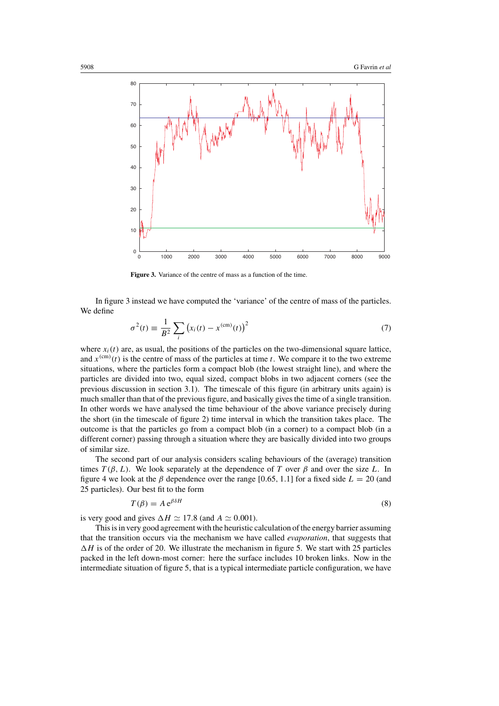

**Figure 3.** Variance of the centre of mass as a function of the time.

In figure 3 instead we have computed the 'variance' of the centre of mass of the particles. We define

$$
\sigma^2(t) \equiv \frac{1}{B^2} \sum_{i} \left( x_i(t) - x^{\text{(cm)}}(t) \right)^2 \tag{7}
$$

where  $x_i(t)$  are, as usual, the positions of the particles on the two-dimensional square lattice, and  $x^{(cm)}(t)$  is the centre of mass of the particles at time t. We compare it to the two extreme situations, where the particles form a compact blob (the lowest straight line), and where the particles are divided into two, equal sized, compact blobs in two adjacent corners (see the previous discussion in section 3.1). The timescale of this figure (in arbitrary units again) is much smaller than that of the previous figure, and basically gives the time of a single transition. In other words we have analysed the time behaviour of the above variance precisely during the short (in the timescale of figure 2) time interval in which the transition takes place. The outcome is that the particles go from a compact blob (in a corner) to a compact blob (in a different corner) passing through a situation where they are basically divided into two groups of similar size.

The second part of our analysis considers scaling behaviours of the (average) transition times  $T(\beta, L)$ . We look separately at the dependence of T over  $\beta$  and over the size L. In figure 4 we look at the  $\beta$  dependence over the range [0.65, 1.1] for a fixed side  $L = 20$  (and 25 particles). Our best fit to the form

$$
T(\beta) = A e^{\beta \delta H} \tag{8}
$$

is very good and gives  $\Delta H \simeq 17.8$  (and  $A \simeq 0.001$ ).

This is in very good agreement with the heuristic calculation of the energy barrier assuming that the transition occurs via the mechanism we have called *evaporation*, that suggests that  $\Delta H$  is of the order of 20. We illustrate the mechanism in figure 5. We start with 25 particles packed in the left down-most corner: here the surface includes 10 broken links. Now in the intermediate situation of figure 5, that is a typical intermediate particle configuration, we have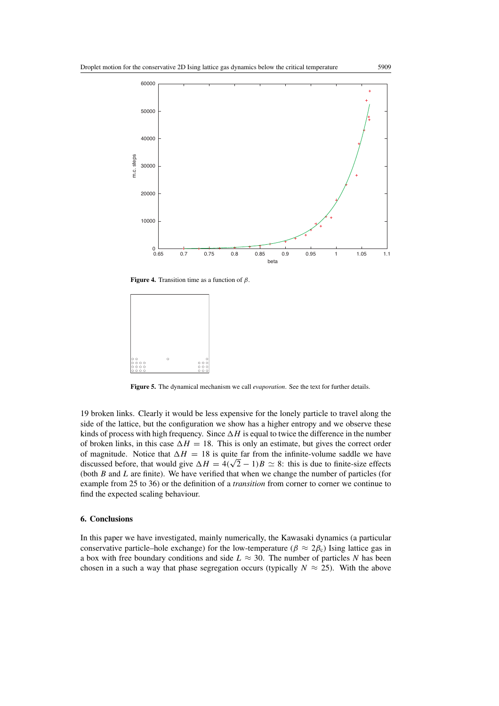

**Figure 4.** Transition time as a function of  $\beta$ .



**Figure 5.** The dynamical mechanism we call *evaporation*. See the text for further details.

19 broken links. Clearly it would be less expensive for the lonely particle to travel along the side of the lattice, but the configuration we show has a higher entropy and we observe these kinds of process with high frequency. Since  $\Delta H$  is equal to twice the difference in the number of broken links, in this case  $\Delta H = 18$ . This is only an estimate, but gives the correct order of magnitude. Notice that  $\Delta H = 18$  is quite far from the infinite-volume saddle we have or magnitude. Notice that  $\Delta H = 18$  is quite far from the infinite-volume saddle we have discussed before, that would give  $\Delta H = 4(\sqrt{2} - 1)B \simeq 8$ : this is due to finite-size effects (both  $B$  and  $L$  are finite). We have verified that when we change the number of particles (for example from 25 to 36) or the definition of a *transition* from corner to corner we continue to find the expected scaling behaviour.

### **6. Conclusions**

In this paper we have investigated, mainly numerically, the Kawasaki dynamics (a particular conservative particle–hole exchange) for the low-temperature ( $\beta \approx 2\beta_c$ ) Ising lattice gas in a box with free boundary conditions and side  $L \approx 30$ . The number of particles N has been chosen in a such a way that phase segregation occurs (typically  $N \approx 25$ ). With the above